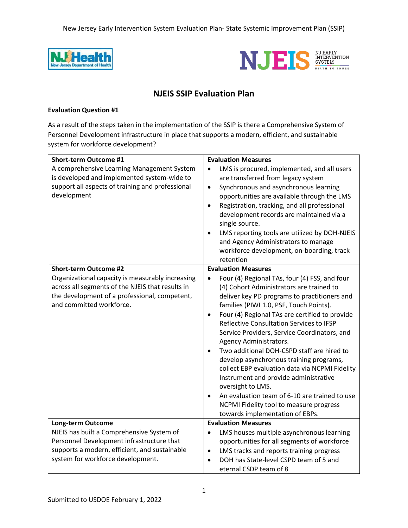New Jersey Early Intervention System Evaluation Plan- State Systemic Improvement Plan (SSIP)





# **NJEIS SSIP Evaluation Plan**

### **Evaluation Question #1**

As a result of the steps taken in the implementation of the SSIP is there a Comprehensive System of Personnel Development infrastructure in place that supports a modern, efficient, and sustainable system for workforce development?

| <b>Short-term Outcome #1</b>                     | <b>Evaluation Measures</b>                                  |  |  |
|--------------------------------------------------|-------------------------------------------------------------|--|--|
| A comprehensive Learning Management System       | LMS is procured, implemented, and all users                 |  |  |
| is developed and implemented system-wide to      | are transferred from legacy system                          |  |  |
| support all aspects of training and professional | Synchronous and asynchronous learning<br>$\bullet$          |  |  |
| development                                      | opportunities are available through the LMS                 |  |  |
|                                                  | Registration, tracking, and all professional<br>$\bullet$   |  |  |
|                                                  | development records are maintained via a                    |  |  |
|                                                  | single source.                                              |  |  |
|                                                  | LMS reporting tools are utilized by DOH-NJEIS<br>$\bullet$  |  |  |
|                                                  | and Agency Administrators to manage                         |  |  |
|                                                  | workforce development, on-boarding, track                   |  |  |
|                                                  | retention                                                   |  |  |
| <b>Short-term Outcome #2</b>                     | <b>Evaluation Measures</b>                                  |  |  |
| Organizational capacity is measurably increasing | Four (4) Regional TAs, four (4) FSS, and four<br>$\bullet$  |  |  |
| across all segments of the NJEIS that results in | (4) Cohort Administrators are trained to                    |  |  |
| the development of a professional, competent,    | deliver key PD programs to practitioners and                |  |  |
| and committed workforce.                         | families (PIWI 1.0, PSF, Touch Points).                     |  |  |
|                                                  | Four (4) Regional TAs are certified to provide<br>$\bullet$ |  |  |
|                                                  | Reflective Consultation Services to IFSP                    |  |  |
|                                                  | Service Providers, Service Coordinators, and                |  |  |
|                                                  | Agency Administrators.                                      |  |  |
|                                                  | Two additional DOH-CSPD staff are hired to<br>$\bullet$     |  |  |
|                                                  | develop asynchronous training programs,                     |  |  |
|                                                  | collect EBP evaluation data via NCPMI Fidelity              |  |  |
|                                                  | Instrument and provide administrative                       |  |  |
|                                                  | oversight to LMS.                                           |  |  |
|                                                  | An evaluation team of 6-10 are trained to use<br>$\bullet$  |  |  |
|                                                  | NCPMI Fidelity tool to measure progress                     |  |  |
|                                                  | towards implementation of EBPs.                             |  |  |
| <b>Long-term Outcome</b>                         | <b>Evaluation Measures</b>                                  |  |  |
| NJEIS has built a Comprehensive System of        | LMS houses multiple asynchronous learning<br>$\bullet$      |  |  |
| Personnel Development infrastructure that        | opportunities for all segments of workforce                 |  |  |
| supports a modern, efficient, and sustainable    | LMS tracks and reports training progress<br>$\bullet$       |  |  |
| system for workforce development.                | DOH has State-level CSPD team of 5 and<br>$\bullet$         |  |  |
|                                                  | eternal CSDP team of 8                                      |  |  |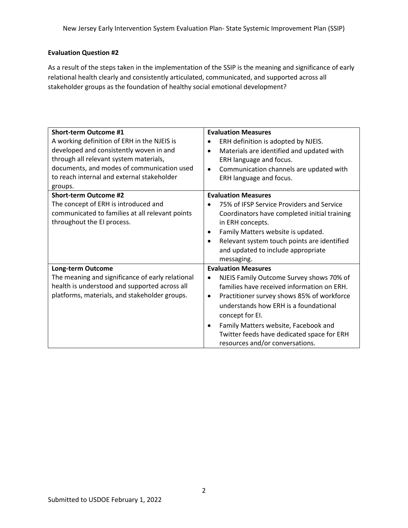## **Evaluation Question #2**

As a result of the steps taken in the implementation of the SSIP is the meaning and significance of early relational health clearly and consistently articulated, communicated, and supported across all stakeholder groups as the foundation of healthy social emotional development?

| <b>Short-term Outcome #1</b><br>A working definition of ERH in the NJEIS is<br>developed and consistently woven in and<br>through all relevant system materials,<br>documents, and modes of communication used<br>to reach internal and external stakeholder<br>groups. | <b>Evaluation Measures</b><br>ERH definition is adopted by NJEIS.<br>Materials are identified and updated with<br>$\bullet$<br>ERH language and focus.<br>Communication channels are updated with<br>$\bullet$<br>ERH language and focus.                                                                                                                                              |
|-------------------------------------------------------------------------------------------------------------------------------------------------------------------------------------------------------------------------------------------------------------------------|----------------------------------------------------------------------------------------------------------------------------------------------------------------------------------------------------------------------------------------------------------------------------------------------------------------------------------------------------------------------------------------|
| <b>Short-term Outcome #2</b><br>The concept of ERH is introduced and<br>communicated to families at all relevant points<br>throughout the EI process.                                                                                                                   | <b>Evaluation Measures</b><br>75% of IFSP Service Providers and Service<br>Coordinators have completed initial training<br>in ERH concepts.<br>Family Matters website is updated.<br>$\bullet$<br>Relevant system touch points are identified<br>$\bullet$<br>and updated to include appropriate<br>messaging.                                                                         |
| <b>Long-term Outcome</b><br>The meaning and significance of early relational<br>health is understood and supported across all<br>platforms, materials, and stakeholder groups.                                                                                          | <b>Evaluation Measures</b><br>NJEIS Family Outcome Survey shows 70% of<br>٠<br>families have received information on ERH.<br>Practitioner survey shows 85% of workforce<br>$\bullet$<br>understands how ERH is a foundational<br>concept for EI.<br>Family Matters website, Facebook and<br>$\bullet$<br>Twitter feeds have dedicated space for ERH<br>resources and/or conversations. |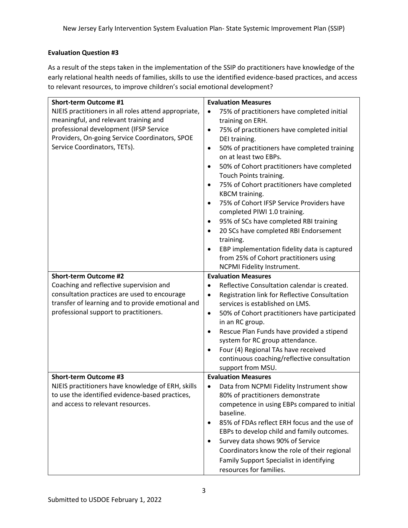## **Evaluation Question #3**

As a result of the steps taken in the implementation of the SSIP do practitioners have knowledge of the early relational health needs of families, skills to use the identified evidence-based practices, and access to relevant resources, to improve children's social emotional development?

| Short-term Outcome #1                                | <b>Evaluation Measures</b>                                 |
|------------------------------------------------------|------------------------------------------------------------|
| NJEIS practitioners in all roles attend appropriate, | 75% of practitioners have completed initial<br>$\bullet$   |
| meaningful, and relevant training and                | training on ERH.                                           |
| professional development (IFSP Service               | 75% of practitioners have completed initial<br>$\bullet$   |
| Providers, On-going Service Coordinators, SPOE       | DEI training.                                              |
| Service Coordinators, TETs).                         | 50% of practitioners have completed training<br>$\bullet$  |
|                                                      | on at least two EBPs.                                      |
|                                                      | 50% of Cohort practitioners have completed<br>$\bullet$    |
|                                                      | Touch Points training.                                     |
|                                                      | 75% of Cohort practitioners have completed<br>$\bullet$    |
|                                                      | KBCM training.                                             |
|                                                      | 75% of Cohort IFSP Service Providers have<br>$\bullet$     |
|                                                      | completed PIWI 1.0 training.                               |
|                                                      | 95% of SCs have completed RBI training<br>$\bullet$        |
|                                                      | 20 SCs have completed RBI Endorsement                      |
|                                                      | training.                                                  |
|                                                      | EBP implementation fidelity data is captured<br>$\bullet$  |
|                                                      | from 25% of Cohort practitioners using                     |
|                                                      | NCPMI Fidelity Instrument.                                 |
| <b>Short-term Outcome #2</b>                         | <b>Evaluation Measures</b>                                 |
| Coaching and reflective supervision and              | Reflective Consultation calendar is created.               |
| consultation practices are used to encourage         | Registration link for Reflective Consultation<br>$\bullet$ |
| transfer of learning and to provide emotional and    | services is established on LMS.                            |
| professional support to practitioners.               | 50% of Cohort practitioners have participated<br>$\bullet$ |
|                                                      | in an RC group.                                            |
|                                                      | Rescue Plan Funds have provided a stipend<br>$\bullet$     |
|                                                      | system for RC group attendance.                            |
|                                                      | Four (4) Regional TAs have received<br>$\bullet$           |
|                                                      | continuous coaching/reflective consultation                |
|                                                      | support from MSU.                                          |
| <b>Short-term Outcome #3</b>                         | <b>Evaluation Measures</b>                                 |
| NJEIS practitioners have knowledge of ERH, skills    | Data from NCPMI Fidelity Instrument show<br>$\bullet$      |
| to use the identified evidence-based practices,      | 80% of practitioners demonstrate                           |
| and access to relevant resources.                    | competence in using EBPs compared to initial               |
|                                                      | baseline.                                                  |
|                                                      | 85% of FDAs reflect ERH focus and the use of<br>$\bullet$  |
|                                                      | EBPs to develop child and family outcomes.                 |
|                                                      | Survey data shows 90% of Service<br>٠                      |
|                                                      | Coordinators know the role of their regional               |
|                                                      | Family Support Specialist in identifying                   |
|                                                      | resources for families.                                    |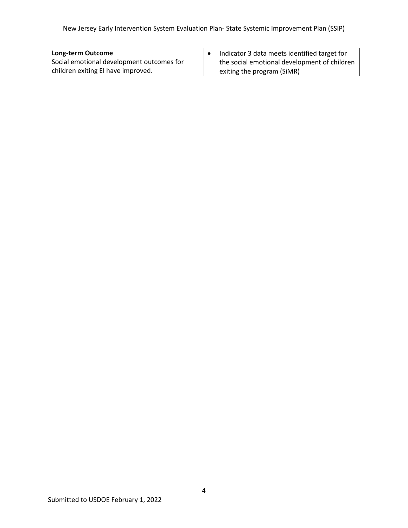| Long-term Outcome                         | Indicator 3 data meets identified target for |
|-------------------------------------------|----------------------------------------------|
| Social emotional development outcomes for | the social emotional development of children |
| children exiting EI have improved.        | exiting the program (SiMR)                   |